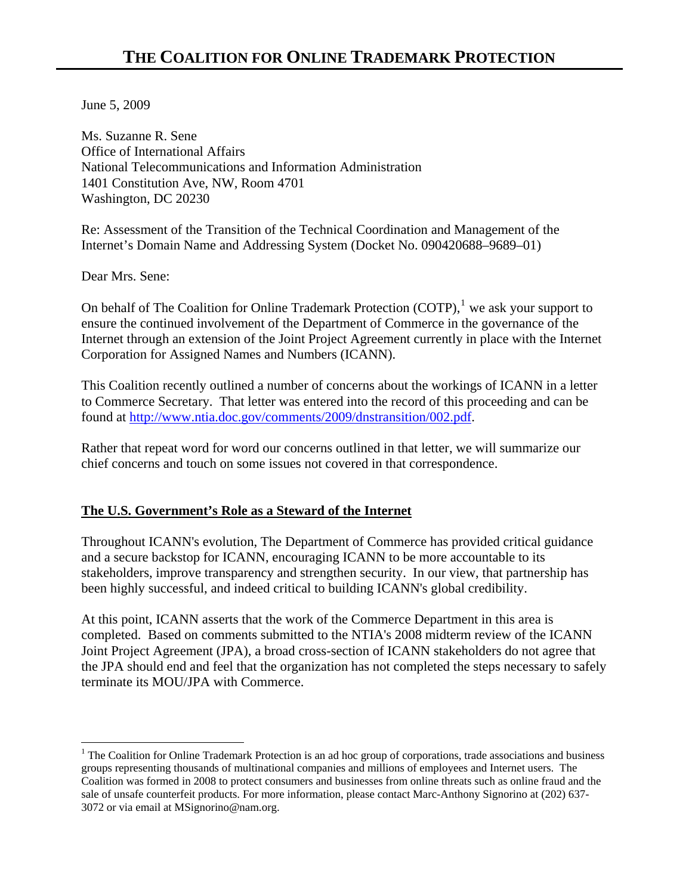June 5, 2009

Ms. Suzanne R. Sene Office of International Affairs National Telecommunications and Information Administration 1401 Constitution Ave, NW, Room 4701 Washington, DC 20230

Re: Assessment of the Transition of the Technical Coordination and Management of the Internet's Domain Name and Addressing System (Docket No. 090420688–9689–01)

Dear Mrs. Sene:

 $\overline{a}$ 

On behalf of The Coalition for Online Trademark Protection  $(COTP)$ , we ask your support to ensure the continued involvement of the Department of Commerce in the governance of the Internet through an extension of the Joint Project Agreement currently in place with the Internet Corporation for Assigned Names and Numbers (ICANN).

This Coalition recently outlined a number of concerns about the workings of ICANN in a letter to Commerce Secretary. That letter was entered into the record of this proceeding and can be found at <http://www.ntia.doc.gov/comments/2009/dnstransition/002.pdf>.

Rather that repeat word for word our concerns outlined in that letter, we will summarize our chief concerns and touch on some issues not covered in that correspondence.

## **The U.S. Government's Role as a Steward of the Internet**

Throughout ICANN's evolution, The Department of Commerce has provided critical guidance and a secure backstop for ICANN, encouraging ICANN to be more accountable to its stakeholders, improve transparency and strengthen security. In our view, that partnership has been highly successful, and indeed critical to building ICANN's global credibility.

At this point, ICANN asserts that the work of the Commerce Department in this area is completed. Based on comments submitted to the NTIA's 2008 midterm review of the ICANN Joint Project Agreement (JPA), a broad cross-section of ICANN stakeholders do not agree that the JPA should end and feel that the organization has not completed the steps necessary to safely terminate its MOU/JPA with Commerce.

<span id="page-0-0"></span><sup>&</sup>lt;sup>1</sup> The Coalition for Online Trademark Protection is an ad hoc group of corporations, trade associations and business groups representing thousands of multinational companies and millions of employees and Internet users. The Coalition was formed in 2008 to protect consumers and businesses from online threats such as online fraud and the sale of unsafe counterfeit products. For more information, please contact Marc-Anthony Signorino at (202) 637- 3072 or via email at MSignorino@nam.org.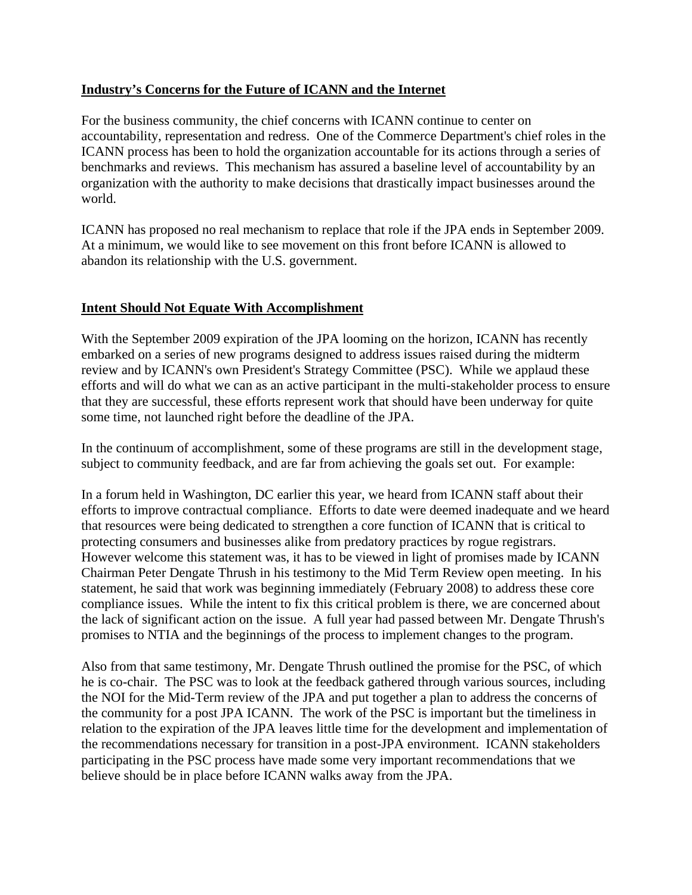## **Industry's Concerns for the Future of ICANN and the Internet**

For the business community, the chief concerns with ICANN continue to center on accountability, representation and redress. One of the Commerce Department's chief roles in the ICANN process has been to hold the organization accountable for its actions through a series of benchmarks and reviews. This mechanism has assured a baseline level of accountability by an organization with the authority to make decisions that drastically impact businesses around the world.

ICANN has proposed no real mechanism to replace that role if the JPA ends in September 2009. At a minimum, we would like to see movement on this front before ICANN is allowed to abandon its relationship with the U.S. government.

## **Intent Should Not Equate With Accomplishment**

With the September 2009 expiration of the JPA looming on the horizon, ICANN has recently embarked on a series of new programs designed to address issues raised during the midterm review and by ICANN's own President's Strategy Committee (PSC). While we applaud these efforts and will do what we can as an active participant in the multi-stakeholder process to ensure that they are successful, these efforts represent work that should have been underway for quite some time, not launched right before the deadline of the JPA.

In the continuum of accomplishment, some of these programs are still in the development stage, subject to community feedback, and are far from achieving the goals set out. For example:

In a forum held in Washington, DC earlier this year, we heard from ICANN staff about their efforts to improve contractual compliance. Efforts to date were deemed inadequate and we heard that resources were being dedicated to strengthen a core function of ICANN that is critical to protecting consumers and businesses alike from predatory practices by rogue registrars. However welcome this statement was, it has to be viewed in light of promises made by ICANN Chairman Peter Dengate Thrush in his testimony to the Mid Term Review open meeting. In his statement, he said that work was beginning immediately (February 2008) to address these core compliance issues. While the intent to fix this critical problem is there, we are concerned about the lack of significant action on the issue. A full year had passed between Mr. Dengate Thrush's promises to NTIA and the beginnings of the process to implement changes to the program.

Also from that same testimony, Mr. Dengate Thrush outlined the promise for the PSC, of which he is co-chair. The PSC was to look at the feedback gathered through various sources, including the NOI for the Mid-Term review of the JPA and put together a plan to address the concerns of the community for a post JPA ICANN. The work of the PSC is important but the timeliness in relation to the expiration of the JPA leaves little time for the development and implementation of the recommendations necessary for transition in a post-JPA environment. ICANN stakeholders participating in the PSC process have made some very important recommendations that we believe should be in place before ICANN walks away from the JPA.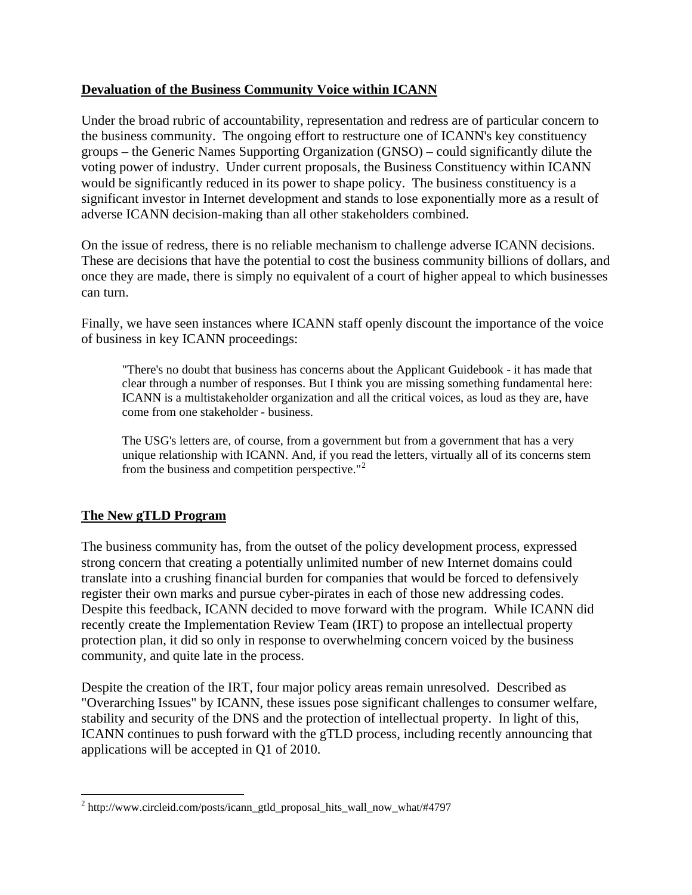## **Devaluation of the Business Community Voice within ICANN**

Under the broad rubric of accountability, representation and redress are of particular concern to the business community. The ongoing effort to restructure one of ICANN's key constituency groups – the Generic Names Supporting Organization (GNSO) – could significantly dilute the voting power of industry. Under current proposals, the Business Constituency within ICANN would be significantly reduced in its power to shape policy. The business constituency is a significant investor in Internet development and stands to lose exponentially more as a result of adverse ICANN decision-making than all other stakeholders combined.

On the issue of redress, there is no reliable mechanism to challenge adverse ICANN decisions. These are decisions that have the potential to cost the business community billions of dollars, and once they are made, there is simply no equivalent of a court of higher appeal to which businesses can turn.

Finally, we have seen instances where ICANN staff openly discount the importance of the voice of business in key ICANN proceedings:

"There's no doubt that business has concerns about the Applicant Guidebook - it has made that clear through a number of responses. But I think you are missing something fundamental here: ICANN is a multistakeholder organization and all the critical voices, as loud as they are, have come from one stakeholder - business.

The USG's letters are, of course, from a government but from a government that has a very unique relationship with ICANN. And, if you read the letters, virtually all of its concerns stem from the business and competition perspective."<sup>[2](#page-2-0)</sup>

# **The New gTLD Program**

 $\overline{a}$ 

The business community has, from the outset of the policy development process, expressed strong concern that creating a potentially unlimited number of new Internet domains could translate into a crushing financial burden for companies that would be forced to defensively register their own marks and pursue cyber-pirates in each of those new addressing codes. Despite this feedback, ICANN decided to move forward with the program. While ICANN did recently create the Implementation Review Team (IRT) to propose an intellectual property protection plan, it did so only in response to overwhelming concern voiced by the business community, and quite late in the process.

Despite the creation of the IRT, four major policy areas remain unresolved. Described as "Overarching Issues" by ICANN, these issues pose significant challenges to consumer welfare, stability and security of the DNS and the protection of intellectual property. In light of this, ICANN continues to push forward with the gTLD process, including recently announcing that applications will be accepted in Q1 of 2010.

<span id="page-2-0"></span><sup>&</sup>lt;sup>2</sup> http://www.circleid.com/posts/icann\_gtld\_proposal\_hits\_wall\_now\_what/#4797